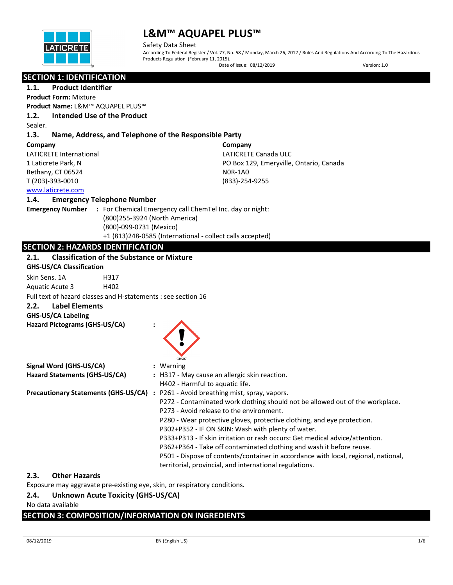

Safety Data Sheet According To Federal Register / Vol. 77, No. 58 / Monday, March 26, 2012 / Rules And Regulations And According To The Hazardous Products Regulation (February 11, 2015).

Date of Issue: 08/12/2019 Version: 1.0

# **SECTION 1: IDENTIFICATION**

# **1.1. Product Identifier**

**Product Form:** Mixture **Product Name:** L&M™ AQUAPEL PLUS™

# **1.2. Intended Use of the Product**

Sealer.

### **1.3. Name, Address, and Telephone of the Responsible Party**

#### **Company**

LATICRETE International 1 Laticrete Park, N Bethany, CT 06524 T (203)-393-0010

**Company** LATICRETE Canada ULC PO Box 129, Emeryville, Ontario, Canada N0R-1A0 (833)-254-9255

# [www.laticrete.com](http://www.laticrete.com/)

#### **1.4. Emergency Telephone Number**

**Emergency Number :** For Chemical Emergency call ChemTel Inc. day or night: (800)255-3924 (North America) (800)-099-0731 (Mexico) +1 (813)248-0585 (International - collect calls accepted)

# **SECTION 2: HAZARDS IDENTIFICATION**

| <b>Classification of the Substance or Mixture</b><br>2.1.     |                                                                                    |
|---------------------------------------------------------------|------------------------------------------------------------------------------------|
| <b>GHS-US/CA Classification</b>                               |                                                                                    |
| Skin Sens, 1A<br>H317                                         |                                                                                    |
| Aquatic Acute 3<br>H402                                       |                                                                                    |
| Full text of hazard classes and H-statements : see section 16 |                                                                                    |
| <b>Label Elements</b><br>2.2.                                 |                                                                                    |
| <b>GHS-US/CA Labeling</b>                                     |                                                                                    |
| Hazard Pictograms (GHS-US/CA)                                 |                                                                                    |
|                                                               |                                                                                    |
|                                                               |                                                                                    |
|                                                               | GHS07                                                                              |
| Signal Word (GHS-US/CA)                                       | : Warning                                                                          |
| Hazard Statements (GHS-US/CA)                                 | : H317 - May cause an allergic skin reaction.                                      |
|                                                               | H402 - Harmful to aquatic life.                                                    |
| <b>Precautionary Statements (GHS-US/CA)</b>                   | : P261 - Avoid breathing mist, spray, vapors.                                      |
|                                                               | P272 - Contaminated work clothing should not be allowed out of the workplace.      |
|                                                               | P273 - Avoid release to the environment.                                           |
|                                                               | P280 - Wear protective gloves, protective clothing, and eye protection.            |
|                                                               | P302+P352 - IF ON SKIN: Wash with plenty of water.                                 |
|                                                               | P333+P313 - If skin irritation or rash occurs: Get medical advice/attention.       |
|                                                               | P362+P364 - Take off contaminated clothing and wash it before reuse.               |
|                                                               | P501 - Dispose of contents/container in accordance with local, regional, national, |
|                                                               | territorial, provincial, and international regulations.                            |

# **2.3. Other Hazards**

Exposure may aggravate pre-existing eye, skin, or respiratory conditions.

# **2.4. Unknown Acute Toxicity (GHS-US/CA)**

No data available

# **SECTION 3: COMPOSITION/INFORMATION ON INGREDIENTS**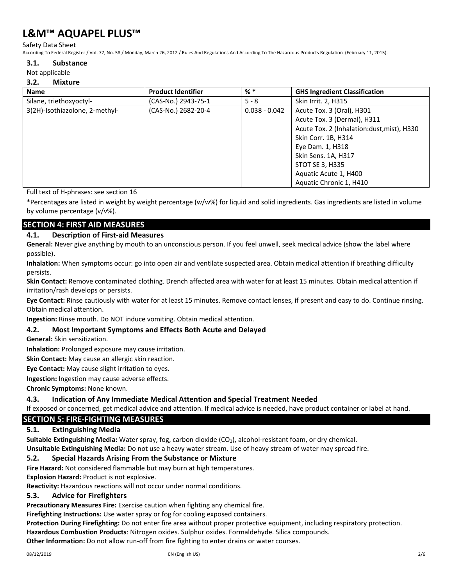Safety Data Sheet

According To Federal Register / Vol. 77, No. 58 / Monday, March 26, 2012 / Rules And Regulations And According To The Hazardous Products Regulation (February 11, 2015).

#### **3.1. Substance**

#### Not applicable

#### **3.2. Mixture**

| <b>Name</b>                    | <b>Product Identifier</b> | $%$ $*$         | <b>GHS Ingredient Classification</b>       |  |
|--------------------------------|---------------------------|-----------------|--------------------------------------------|--|
| Silane, triethoxyoctyl-        | (CAS-No.) 2943-75-1       | $5 - 8$         | Skin Irrit. 2, H315                        |  |
| 3(2H)-Isothiazolone, 2-methyl- | (CAS-No.) 2682-20-4       | $0.038 - 0.042$ | Acute Tox. 3 (Oral), H301                  |  |
|                                |                           |                 | Acute Tox. 3 (Dermal), H311                |  |
|                                |                           |                 | Acute Tox. 2 (Inhalation:dust, mist), H330 |  |
|                                |                           |                 | Skin Corr. 1B, H314                        |  |
|                                |                           |                 | Eye Dam. 1, H318                           |  |
|                                |                           |                 | Skin Sens. 1A, H317                        |  |
|                                |                           |                 | <b>STOT SE 3, H335</b>                     |  |
|                                |                           |                 | Aquatic Acute 1, H400                      |  |
|                                |                           |                 | Aquatic Chronic 1, H410                    |  |

Full text of H-phrases: see section 16

\*Percentages are listed in weight by weight percentage (w/w%) for liquid and solid ingredients. Gas ingredients are listed in volume by volume percentage (v/v%).

# **SECTION 4: FIRST AID MEASURES**

#### **4.1. Description of First-aid Measures**

**General:** Never give anything by mouth to an unconscious person. If you feel unwell, seek medical advice (show the label where possible).

**Inhalation:** When symptoms occur: go into open air and ventilate suspected area. Obtain medical attention if breathing difficulty persists.

**Skin Contact:** Remove contaminated clothing. Drench affected area with water for at least 15 minutes. Obtain medical attention if irritation/rash develops or persists.

**Eye Contact:** Rinse cautiously with water for at least 15 minutes. Remove contact lenses, if present and easy to do. Continue rinsing. Obtain medical attention.

**Ingestion:** Rinse mouth. Do NOT induce vomiting. Obtain medical attention.

#### **4.2. Most Important Symptoms and Effects Both Acute and Delayed**

**General:** Skin sensitization.

**Inhalation:** Prolonged exposure may cause irritation.

**Skin Contact:** May cause an allergic skin reaction.

**Eye Contact:** May cause slight irritation to eyes.

**Ingestion:** Ingestion may cause adverse effects.

**Chronic Symptoms:** None known.

#### **4.3. Indication of Any Immediate Medical Attention and Special Treatment Needed**

If exposed or concerned, get medical advice and attention. If medical advice is needed, have product container or label at hand.

#### **SECTION 5: FIRE-FIGHTING MEASURES**

#### **5.1. Extinguishing Media**

**Suitable Extinguishing Media:** Water spray, fog, carbon dioxide (CO<sub>2</sub>), alcohol-resistant foam, or dry chemical. **Unsuitable Extinguishing Media:** Do not use a heavy water stream. Use of heavy stream of water may spread fire.

#### **5.2. Special Hazards Arising From the Substance or Mixture**

**Fire Hazard:** Not considered flammable but may burn at high temperatures.

**Explosion Hazard:** Product is not explosive.

**Reactivity:** Hazardous reactions will not occur under normal conditions.

#### **5.3. Advice for Firefighters**

**Precautionary Measures Fire:** Exercise caution when fighting any chemical fire.

**Firefighting Instructions:** Use water spray or fog for cooling exposed containers.

**Protection During Firefighting:** Do not enter fire area without proper protective equipment, including respiratory protection.

**Hazardous Combustion Products**: Nitrogen oxides. Sulphur oxides. Formaldehyde. Silica compounds.

**Other Information:** Do not allow run-off from fire fighting to enter drains or water courses.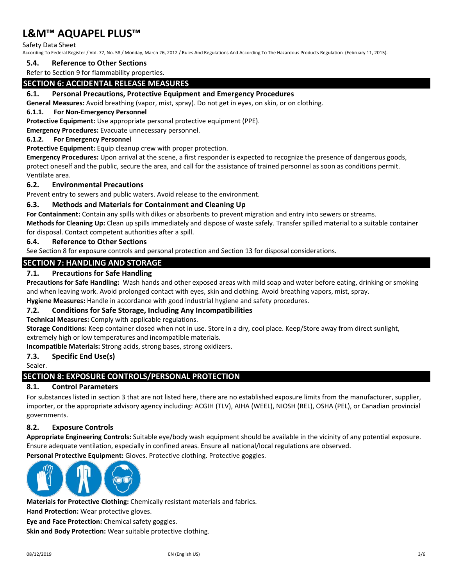Safety Data Sheet

According To Federal Register / Vol. 77, No. 58 / Monday, March 26, 2012 / Rules And Regulations And According To The Hazardous Products Regulation (February 11, 2015).

#### **5.4. Reference to Other Sections**

Refer to Section 9 for flammability properties.

# **SECTION 6: ACCIDENTAL RELEASE MEASURES**

#### **6.1. Personal Precautions, Protective Equipment and Emergency Procedures**

**General Measures:** Avoid breathing (vapor, mist, spray). Do not get in eyes, on skin, or on clothing.

#### **6.1.1. For Non-Emergency Personnel**

**Protective Equipment:** Use appropriate personal protective equipment (PPE).

**Emergency Procedures:** Evacuate unnecessary personnel.

#### **6.1.2. For Emergency Personnel**

**Protective Equipment:** Equip cleanup crew with proper protection.

**Emergency Procedures:** Upon arrival at the scene, a first responder is expected to recognize the presence of dangerous goods, protect oneself and the public, secure the area, and call for the assistance of trained personnel as soon as conditions permit. Ventilate area.

#### **6.2. Environmental Precautions**

Prevent entry to sewers and public waters. Avoid release to the environment.

#### **6.3. Methods and Materials for Containment and Cleaning Up**

**For Containment:** Contain any spills with dikes or absorbents to prevent migration and entry into sewers or streams.

**Methods for Cleaning Up:** Clean up spills immediately and dispose of waste safely. Transfer spilled material to a suitable container for disposal. Contact competent authorities after a spill.

#### **6.4. Reference to Other Sections**

See Section 8 for exposure controls and personal protection and Section 13 for disposal considerations.

#### **SECTION 7: HANDLING AND STORAGE**

#### **7.1. Precautions for Safe Handling**

**Precautions for Safe Handling:** Wash hands and other exposed areas with mild soap and water before eating, drinking or smoking and when leaving work. Avoid prolonged contact with eyes, skin and clothing. Avoid breathing vapors, mist, spray.

**Hygiene Measures:** Handle in accordance with good industrial hygiene and safety procedures.

#### **7.2. Conditions for Safe Storage, Including Any Incompatibilities**

**Technical Measures:** Comply with applicable regulations.

**Storage Conditions:** Keep container closed when not in use. Store in a dry, cool place. Keep/Store away from direct sunlight, extremely high or low temperatures and incompatible materials.

**Incompatible Materials:** Strong acids, strong bases, strong oxidizers.

#### **7.3. Specific End Use(s)**

Sealer.

### **SECTION 8: EXPOSURE CONTROLS/PERSONAL PROTECTION**

#### **8.1. Control Parameters**

For substances listed in section 3 that are not listed here, there are no established exposure limits from the manufacturer, supplier, importer, or the appropriate advisory agency including: ACGIH (TLV), AIHA (WEEL), NIOSH (REL), OSHA (PEL), or Canadian provincial governments.

#### **8.2. Exposure Controls**

**Appropriate Engineering Controls:** Suitable eye/body wash equipment should be available in the vicinity of any potential exposure. Ensure adequate ventilation, especially in confined areas. Ensure all national/local regulations are observed.

**Personal Protective Equipment:** Gloves. Protective clothing. Protective goggles.



**Materials for Protective Clothing:** Chemically resistant materials and fabrics.

**Hand Protection:** Wear protective gloves.

**Eye and Face Protection:** Chemical safety goggles.

**Skin and Body Protection:** Wear suitable protective clothing.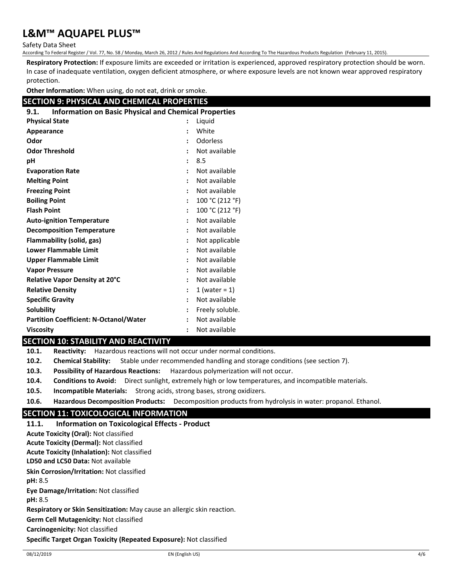Safety Data Sheet

According To Federal Register / Vol. 77, No. 58 / Monday, March 26, 2012 / Rules And Regulations And According To The Hazardous Products Regulation (February 11, 2015).

**Respiratory Protection:** If exposure limits are exceeded or irritation is experienced, approved respiratory protection should be worn. In case of inadequate ventilation, oxygen deficient atmosphere, or where exposure levels are not known wear approved respiratory protection.

**Other Information:** When using, do not eat, drink or smoke.

# **SECTION 9: PHYSICAL AND CHEMICAL PROPERTIES**

| <b>Information on Basic Physical and Chemical Properties</b><br>9.1. |                      |                  |
|----------------------------------------------------------------------|----------------------|------------------|
| <b>Physical State</b>                                                | :                    | Liguid           |
| <b>Appearance</b>                                                    |                      | White            |
| Odor                                                                 | $\ddot{\cdot}$       | Odorless         |
| <b>Odor Threshold</b>                                                | ÷                    | Not available    |
| рH                                                                   | $\ddot{\phantom{a}}$ | 8.5              |
| <b>Evaporation Rate</b>                                              | $\ddot{\phantom{a}}$ | Not available    |
| <b>Melting Point</b>                                                 | $\ddot{\cdot}$       | Not available    |
| <b>Freezing Point</b>                                                | $\ddot{\phantom{a}}$ | Not available    |
| <b>Boiling Point</b>                                                 | $\ddot{\phantom{a}}$ | 100 °C (212 °F)  |
| <b>Flash Point</b>                                                   | $\ddot{\phantom{a}}$ | 100 °C (212 °F)  |
| <b>Auto-ignition Temperature</b>                                     | $\ddot{\phantom{a}}$ | Not available    |
| <b>Decomposition Temperature</b>                                     | $\ddot{\cdot}$       | Not available    |
| <b>Flammability (solid, gas)</b>                                     | $\ddot{\phantom{a}}$ | Not applicable   |
| <b>Lower Flammable Limit</b>                                         | ÷                    | Not available    |
| <b>Upper Flammable Limit</b>                                         | $\ddot{\phantom{a}}$ | Not available    |
| <b>Vapor Pressure</b>                                                | $\ddot{\cdot}$       | Not available    |
| Relative Vapor Density at 20°C                                       | $\ddot{\phantom{a}}$ | Not available    |
| <b>Relative Density</b>                                              | $\ddot{\phantom{a}}$ | 1 (water = $1$ ) |
| <b>Specific Gravity</b>                                              | $\ddot{\phantom{a}}$ | Not available    |
| <b>Solubility</b>                                                    | $\ddot{\cdot}$       | Freely soluble.  |
| <b>Partition Coefficient: N-Octanol/Water</b>                        | $\ddot{\cdot}$       | Not available    |
| <b>Viscosity</b>                                                     | $\ddot{\cdot}$       | Not available    |

#### **SECTION 10: STABILITY AND REACTIVITY**

**10.1. Reactivity:** Hazardous reactions will not occur under normal conditions.

**10.2. Chemical Stability:** Stable under recommended handling and storage conditions (see section 7).

**10.3. Possibility of Hazardous Reactions:** Hazardous polymerization will not occur.

- **10.4. Conditions to Avoid:** Direct sunlight, extremely high or low temperatures, and incompatible materials.
- **10.5. Incompatible Materials:** Strong acids, strong bases, strong oxidizers.
- **10.6. Hazardous Decomposition Products:** Decomposition products from hydrolysis in water: propanol. Ethanol.

# **SECTION 11: TOXICOLOGICAL INFORMATION**

**11.1. Information on Toxicological Effects - Product LD50 and LC50 Data:** Not available **Skin Corrosion/Irritation:** Not classified **pH:** 8.5 **Eye Damage/Irritation:** Not classified **pH:** 8.5 **Respiratory or Skin Sensitization:** May cause an allergic skin reaction. **Germ Cell Mutagenicity:** Not classified **Carcinogenicity:** Not classified **Specific Target Organ Toxicity (Repeated Exposure):** Not classified **Acute Toxicity (Oral):** Not classified **Acute Toxicity (Dermal):** Not classified **Acute Toxicity (Inhalation):** Not classified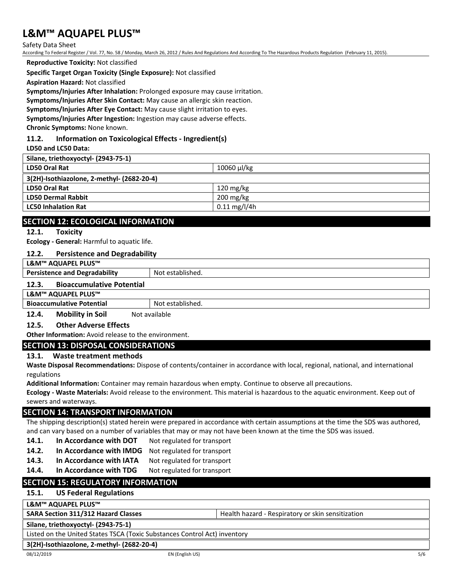Safety Data Sheet

According To Federal Register / Vol. 77, No. 58 / Monday, March 26, 2012 / Rules And Regulations And According To The Hazardous Products Regulation (February 11, 2015).

**Reproductive Toxicity:** Not classified

#### **Specific Target Organ Toxicity (Single Exposure):** Not classified

**Aspiration Hazard:** Not classified

**Symptoms/Injuries After Inhalation:** Prolonged exposure may cause irritation.

**Symptoms/Injuries After Skin Contact:** May cause an allergic skin reaction.

**Symptoms/Injuries After Eye Contact:** May cause slight irritation to eyes.

**Symptoms/Injuries After Ingestion:** Ingestion may cause adverse effects.

**Chronic Symptoms:** None known.

### **11.2. Information on Toxicological Effects - Ingredient(s)**

**LD50 and LC50 Data:**

| Silane, triethoxyoctyl- (2943-75-1)        |                        |  |
|--------------------------------------------|------------------------|--|
| LD50 Oral Rat                              | 10060 µl/kg            |  |
| 3(2H)-Isothiazolone, 2-methyl- (2682-20-4) |                        |  |
| <b>LD50 Oral Rat</b>                       | $120 \text{ mg/kg}$    |  |
| <b>LD50 Dermal Rabbit</b>                  | $200 \text{ mg/kg}$    |  |
| <b>LC50 Inhalation Rat</b>                 | $0.11 \text{ mg/l/4h}$ |  |
|                                            |                        |  |

# **SECTION 12: ECOLOGICAL INFORMATION**

#### **12.1. Toxicity**

**Ecology - General:** Harmful to aquatic life.

#### **12.2. Persistence and Degradability**

**L&M™ AQUAPEL PLUS™**

**Persistence and Degradability** Not established.

#### **12.3. Bioaccumulative Potential**

#### **L&M™ AQUAPEL PLUS™**

**Bioaccumulative Potential** Not established.

# **12.4. Mobility in Soil** Not available

# **12.5. Other Adverse Effects**

**Other Information:** Avoid release to the environment.

# **SECTION 13: DISPOSAL CONSIDERATIONS**

# **13.1. Waste treatment methods**

**Waste Disposal Recommendations:** Dispose of contents/container in accordance with local, regional, national, and international regulations

**Additional Information:** Container may remain hazardous when empty. Continue to observe all precautions.

**Ecology - Waste Materials:** Avoid release to the environment. This material is hazardous to the aquatic environment. Keep out of sewers and waterways.

# **SECTION 14: TRANSPORT INFORMATION**

The shipping description(s) stated herein were prepared in accordance with certain assumptions at the time the SDS was authored, and can vary based on a number of variables that may or may not have been known at the time the SDS was issued.

- 14.1. **In Accordance with DOT** Not regulated for transport
- **14.2. In Accordance with IMDG** Not regulated for transport
- 14.3. In Accordance with IATA Not regulated for transport
- 14.4. In Accordance with TDG Not regulated for transport

# **SECTION 15: REGULATORY INFORMATION**

#### **15.1. US Federal Regulations**

#### **L&M™ AQUAPEL PLUS™**

**SARA Section 311/312 Hazard Classes** Health hazard - Respiratory or skin sensitization

**Silane, triethoxyoctyl- (2943-75-1)**

Listed on the United States TSCA (Toxic Substances Control Act) inventory

**3(2H)-Isothiazolone, 2-methyl- (2682-20-4)**